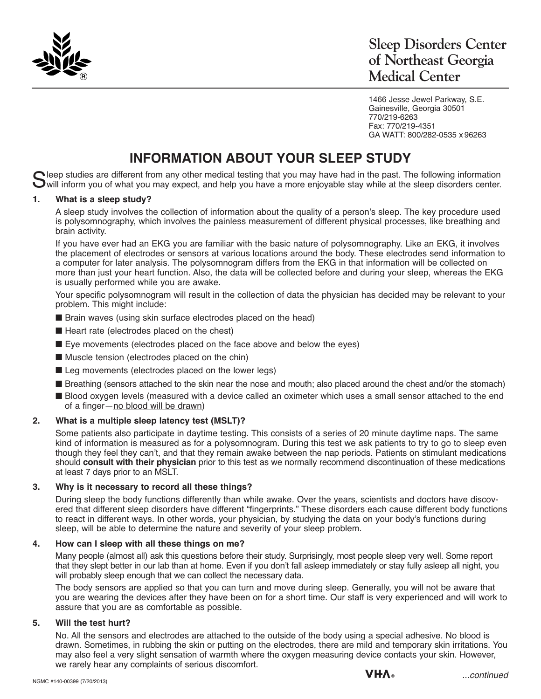

1466 Jesse Jewel Parkway, S.E. Gainesville, Georgia 30501 770/219-6263 Fax: 770/219-4351 GA WATT: 800/282-0535 x 96263

# **INFORMATION ABOUT YOUR SLEEP STUDY**

Sleep studies are different from any other medical testing that you may have had in the past. The following information<br>Swill inform you of what you may expect, and help you have a more enjoyable stay while at the sleep di

#### **1. What is a sleep study?**

A sleep study involves the collection of information about the quality of a person's sleep. The key procedure used is polysomnography, which involves the painless measurement of different physical processes, like breathing and brain activity.

If you have ever had an EKG you are familiar with the basic nature of polysomnography. Like an EKG, it involves the placement of electrodes or sensors at various locations around the body. These electrodes send information to a computer for later analysis. The polysomnogram differs from the EKG in that information will be collected on more than just your heart function. Also, the data will be collected before and during your sleep, whereas the EKG is usually performed while you are awake.

Your specific polysomnogram will result in the collection of data the physician has decided may be relevant to your problem. This might include:

- $\blacksquare$  Brain waves (using skin surface electrodes placed on the head)
- $\blacksquare$  Heart rate (electrodes placed on the chest)
- $\blacksquare$  Eye movements (electrodes placed on the face above and below the eyes)
- $\blacksquare$  Muscle tension (electrodes placed on the chin)
- $\blacksquare$  Leg movements (electrodes placed on the lower legs)
- Breathing (sensors attached to the skin near the nose and mouth; also placed around the chest and/or the stomach)
- Blood oxygen levels (measured with a device called an oximeter which uses a small sensor attached to the end of a finger-no blood will be drawn)

## **2. What is a multiple sleep latency test (MSLT)?**

Some patients also participate in daytime testing. This consists of a series of 20 minute daytime naps. The same kind of information is measured as for a polysomnogram. During this test we ask patients to try to go to sleep even though they feel they can't, and that they remain awake between the nap periods. Patients on stimulant medications should **consult with their physician** prior to this test as we normally recommend discontinuation of these medications at least 7 days prior to an MSLT.

#### **3. Why is it necessary to record all these things?**

During sleep the body functions differently than while awake. Over the years, scientists and doctors have discovered that different sleep disorders have different "fingerprints." These disorders each cause different body functions to react in different ways. In other words, your physician, by studying the data on your body's functions during sleep, will be able to determine the nature and severity of your sleep problem.

#### **4. How can I sleep with all these things on me?**

Many people (almost all) ask this questions before their study. Surprisingly, most people sleep very well. Some report that they slept better in our lab than at home. Even if you don't fall asleep immediately or stay fully asleep all night, you will probably sleep enough that we can collect the necessary data.

The body sensors are applied so that you can turn and move during sleep. Generally, you will not be aware that you are wearing the devices after they have been on for a short time. Our staff is very experienced and will work to assure that you are as comfortable as possible.

#### **5. Will the test hurt?**

No. All the sensors and electrodes are attached to the outside of the body using a special adhesive. No blood is drawn. Sometimes, in rubbing the skin or putting on the electrodes, there are mild and temporary skin irritations. You may also feel a very slight sensation of warmth where the oxygen measuring device contacts your skin. However, we rarely hear any complaints of serious discomfort.

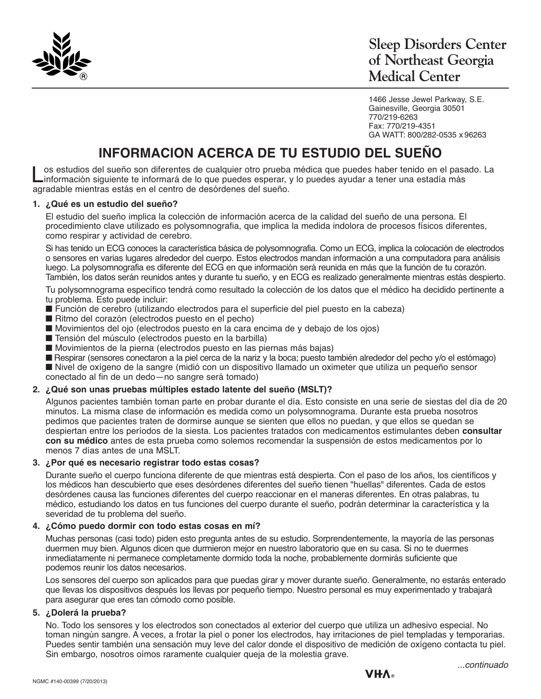

1466 Jesse Jewel Parkway, S.E. Gainesville, Georgia 30501 770/219-6263 Fax: 770/219-4351 GA WATT: 800/282-0535 x 96263

## **INFORMACION ACERCA DE TU ESTUDIO DEL SUEÑO**

Los estudios del sueño son diferentes de cualquier otro prueba médica que puedes haber tenido en el pasado. La información siguiente te informará de lo que puedes esperar, y lo puedes ayudar a tener una estadía más agradable mientras estás en el centro de desórdenes del sueño.

#### **1. ¿Qué es un estudio del sueño?**

El estudio del sueño implica la colección de información acerca de la calidad del sueño de una persona. El procedimiento clave utilizado es polysomnografia, que implica la medida indolora de procesos físicos diferentes, como respirar y actividad de cerebro.

Si has tenido un ECG conoces la característica básica de polysomnografia. Como un ECG, implica la colocación de electrodos o sensores en varias lugares alrededor del cuerpo. Estos electrodos mandan información a una computadora para análisis luego. La polysomnografia es diferente del ECG en que información será reunida en más que la función de tu corazón. También, los datos serán reunidos antes y durante tu sueño, y en ECG es realizado generalmente mientras estás despierto.

Tu polysomnograma específico tendrá como resultado la colección de los datos que el médico ha decidido pertinente a tu problema. Esto puede incluir:

- Función de cerebro (utilizando electrodos para el superficie del piel puesto en la cabeza)
- Ritmo del corazón (electrodos puesto en el pecho)
- Movimientos del ojo (electrodos puesto en la cara encima de y debajo de los ojos)
- Tensión del músculo (electrodos puesto en la barbilla)
- Movimientos de la pierna (electrodos puesto en las piernas más bajas)

n Respirar (sensores conectaron a la piel cerca de la nariz y la boca; puesto también alrededor del pecho y/o el estómago) ■ Nivel de oxígeno de la sangre (midió con un dispositivo llamado un oximeter que utiliza un pequeño sensor conectado al fin de un dedo—no sangre será tomado)

#### **2. ¿Qué son unas pruebas múltiples estado latente del sueño (MSLT)?**

Algunos pacientes también toman parte en probar durante el día. Esto consiste en una serie de siestas del día de 20 minutos. La misma clase de información es medida como un polysomnograma. Durante esta prueba nosotros pedimos que pacientes traten de dormirse aunque se sienten que ellos no puedan, y que ellos se quedan se despiertan entre los períodos de la siesta. Los pacientes tratados con medicamentos estimulantes deben **consultar con su médico** antes de esta prueba como solemos recomendar la suspensión de estos medicamentos por lo menos 7 días antes de una MSLT.

#### **3. ¿Por qué es necesario registrar todo estas cosas?**

Durante sueño el cuerpo funciona diferente de que mientras está despierta. Con el paso de los años, los científicos y los médicos han descubierto que eses desórdenes diferentes del sueño tienen "huellas" diferentes. Cada de estos desórdenes causa las funciones diferentes del cuerpo reaccionar en el maneras diferentes. En otras palabras, tu médico, estudiando los datos en tus funciones del cuerpo durante el sueño, podrán determinar la característica y la severidad de tu problema del sueño.

#### **4. ¿Cómo puedo dormir con todo estas cosas en mí?**

Muchas personas (casi todo) piden esto pregunta antes de su estudio. Sorprendentemente, la mayoría de las personas duermen muy bien. Algunos dicen que durmieron mejor en nuestro laboratorio que en su casa. Si no te duermes inmediatamente ni permanece completamente dormido toda la noche, probablemente dormirás suficiente que podemos reunir los datos necesarios.

Los sensores del cuerpo son aplicados para que puedas girar y mover durante sueño. Generalmente, no estarás enterado que llevas los dispositivos después los llevas por pequeño tiempo. Nuestro personal es muy experimentado y trabajará para asegurar que eres tan cómodo como posible.

## **5. ¿Dolerá la prueba?**

No. Todo los sensores y los electrodos son conectados al exterior del cuerpo que utiliza un adhesivo especial. No toman ningún sangre. A veces, a frotar la piel o poner los electrodos, hay irritaciones de piel templadas y temporarias. Puedes sentir también una sensación muy leve del calor donde el dispositivo de medición de oxígeno contacta tu piel. Sin embargo, nosotros oímos raramente cualquier queja de la molestia grave.

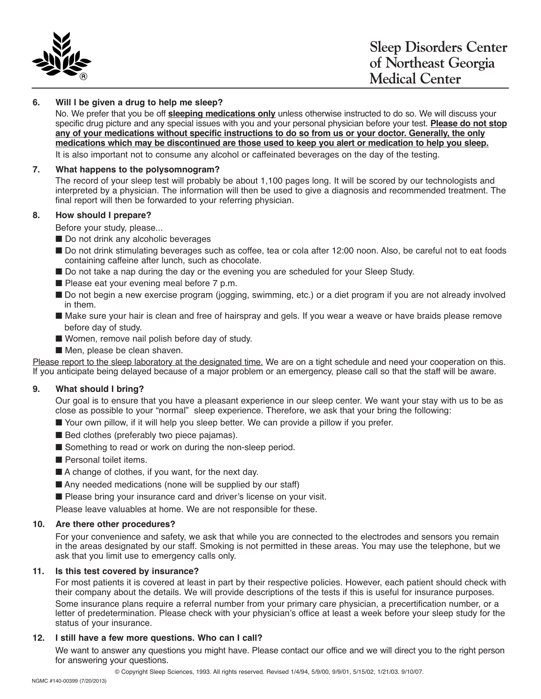

### **6. Will I be given a drug to help me sleep?**

No. We prefer that you be off **sleeping medications only** unless otherwise instructed to do so. We will discuss your specific drug picture and any special issues with you and your personal physician before your test. **Please do not stop** any of your medications without specific instructions to do so from us or your doctor. Generally, the only medications which may be discontinued are those used to keep you alert or medication to help you sleep. It is also important not to consume any alcohol or caffeinated beverages on the day of the testing.

#### **7. What happens to the polysomnogram?**

The record of your sleep test will probably be about 1,100 pages long. It will be scored by our technologists and interpreted by a physician. The information will then be used to give a diagnosis and recommended treatment. The final report will then be forwarded to your referring physician.

#### **8. How should I prepare?**

Before your study, please...

- Do not drink any alcoholic beverages
- Do not drink stimulating beverages such as coffee, tea or cola after 12:00 noon. Also, be careful not to eat foods containing caffeine after lunch, such as chocolate.
- Do not take a nap during the day or the evening you are scheduled for your Sleep Study.
- $\blacksquare$  Please eat your evening meal before 7 p.m.
- Do not begin a new exercise program (jogging, swimming, etc.) or a diet program if you are not already involved in them.
- n Make sure your hair is clean and free of hairspray and gels. If you wear a weave or have braids please remove before day of study.
- Women, remove nail polish before day of study.
- $\blacksquare$  Men, please be clean shaven.

Please report to the sleep laboratory at the designated time. We are on a tight schedule and need your cooperation on this. If you anticipate being delayed because of a major problem or an emergency, please call so that the staff will be aware.

#### **9. What should I bring?**

Our goal is to ensure that you have a pleasant experience in our sleep center. We want your stay with us to be as close as possible to your "normal" sleep experience. Therefore, we ask that your bring the following:

- Your own pillow, if it will help you sleep better. We can provide a pillow if you prefer.
- $\blacksquare$  Bed clothes (preferably two piece pajamas).
- $\blacksquare$  Something to read or work on during the non-sleep period.
- $\blacksquare$  Personal toilet items.
- $\blacksquare$  A change of clothes, if you want, for the next day.
- $\blacksquare$  Any needed medications (none will be supplied by our staff)
- Please bring your insurance card and driver's license on your visit.

Please leave valuables at home. We are not responsible for these.

#### **10. Are there other procedures?**

For your convenience and safety, we ask that while you are connected to the electrodes and sensors you remain in the areas designated by our staff. Smoking is not permitted in these areas. You may use the telephone, but we ask that you limit use to emergency calls only.

#### **11. Is this test covered by insurance?**

For most patients it is covered at least in part by their respective policies. However, each patient should check with their company about the details. We will provide descriptions of the tests if this is useful for insurance purposes.

Some insurance plans require a referral number from your primary care physician, a precertification number, or a letter of predetermination. Please check with your physician's office at least a week before your sleep study for the status of your insurance.

#### **12. I still have a few more questions. Who can I call?**

We want to answer any questions you might have. Please contact our office and we will direct you to the right person for answering your questions.